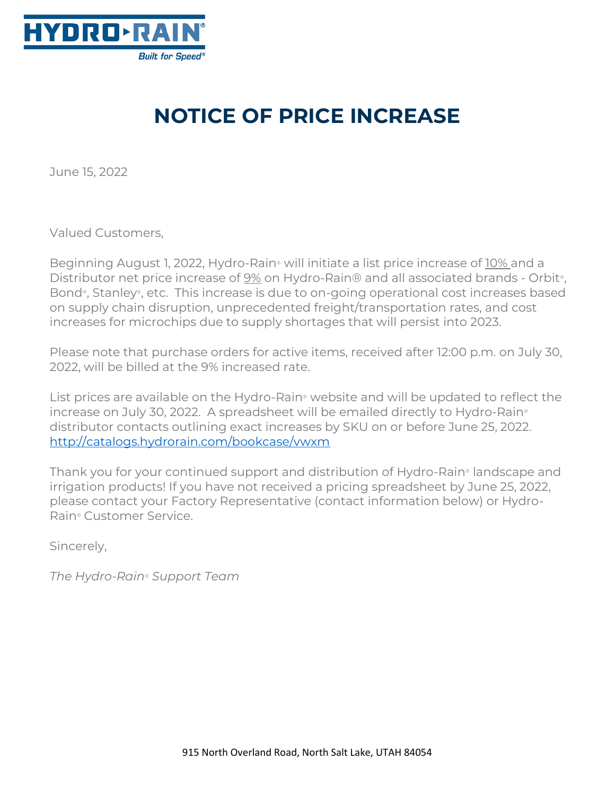

## **NOTICE OF PRICE INCREASE**

June 15, 2022

Valued Customers,

Beginning August 1, 2022, Hydro-Rain® will initiate a list price increase of 10% and a Distributor net price increase of 9% on Hydro-Rain® and all associated brands - Orbit®, Bond®, Stanley®, etc. This increase is due to on-going operational cost increases based on supply chain disruption, unprecedented freight/transportation rates, and cost increases for microchips due to supply shortages that will persist into 2023.

Please note that purchase orders for active items, received after 12:00 p.m. on July 30, 2022, will be billed at the 9% increased rate.

List prices are available on the Hydro-Rain® website and will be updated to reflect the increase on July 30, 2022. A spreadsheet will be emailed directly to Hydro-Rain® distributor contacts outlining exact increases by SKU on or before June 25, 2022. <http://catalogs.hydrorain.com/bookcase/vwxm>

Thank you for your continued support and distribution of Hydro-Rain® landscape and irrigation products! If you have not received a pricing spreadsheet by June 25, 2022, please contact your Factory Representative (contact information below) or Hydro-Rain® Customer Service.

Sincerely,

*The Hydro-Rain*® *Support Team*